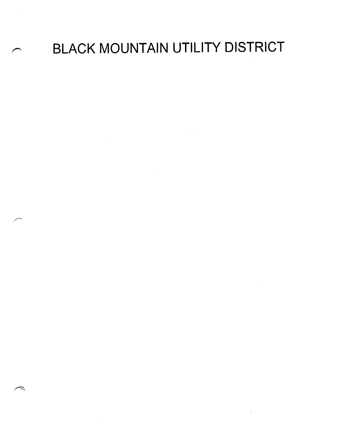## BLACK MOUNTAIN UTILITY DISTRICT

 $\sim 1$ 

 $\mathcal{L}_{\text{max}}$  and  $\mathcal{L}_{\text{max}}$  and  $\mathcal{L}_{\text{max}}$ 

 $\mathcal{L}^{\text{max}}_{\text{max}}$  and  $\mathcal{L}^{\text{max}}_{\text{max}}$ 

 $\sim$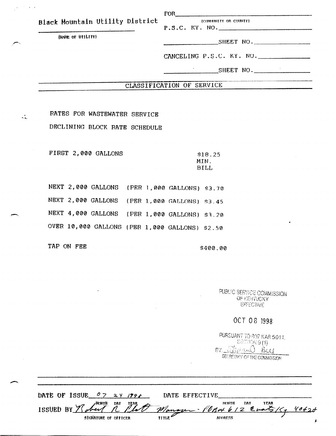| (NAME OF UTILITY) | P.S.C. KY. NO.            |  |  |  |
|-------------------|---------------------------|--|--|--|
|                   | SHEET NO.                 |  |  |  |
|                   |                           |  |  |  |
|                   | CANCELING P.S.C. KY. NO.  |  |  |  |
|                   | SHEET NO.                 |  |  |  |
|                   |                           |  |  |  |
|                   | CLASSIFICATION OF SERVICE |  |  |  |

RATES FOR WASTEWATER SERVICE

DECLINING BLOCK RATE SCHEDULE

FIRST 2,000 GALLONS \$18.25

 $\mathbf{r}$  .

 $\omega = \omega^2 - \omega^2$  .

MIN. BILL

NEXT 2,000 GALLONS (PER 1,000 GALLONS) S3.70 NEXT 2,000 GALLONS (PER 1,000 GALLONS) \$3.45 NEXT 4,000 GALLONS (PER 1,000 GALLONS) S3.20 OVER 10,000 GALLONS (PER 1,000 GALLONS) \$2.50

TAP ON FEE S400.00

PUBLIC SERVICE COMMISSION OF KENTUCKY **EFFECTIVE** 

OCT 08 1998

| PURSUANT TO 807 KAR 5:011.  |
|-----------------------------|
| <b>SECTION 911)</b>         |
| BY Treand By                |
| SECRETARY OF THE COMMISSION |

| DATE OF ISSUE $0.7$ 24 1998 |                      |               | DATE EFFECTIVE                                            |  |
|-----------------------------|----------------------|---------------|-----------------------------------------------------------|--|
|                             |                      |               | ISSUED BY Robert R Plat Manager - POB4612 Evats /5, 4062d |  |
|                             | SIGNATURE OF OFFICER | $\text{time}$ | <b>ADDRESS</b>                                            |  |